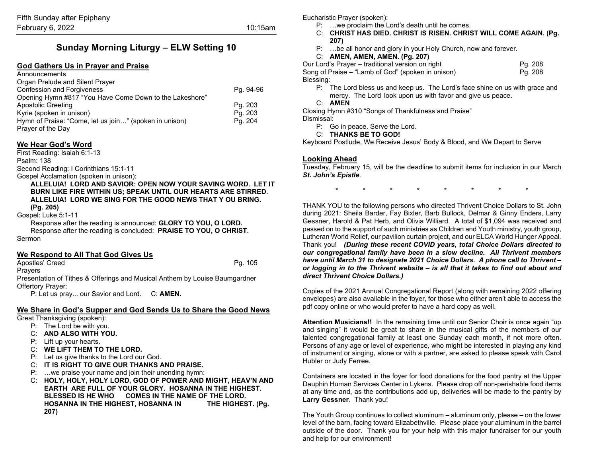# **Sunday Morning Liturgy – ELW Setting 10**

#### **God Gathers Us in Prayer and Praise**

| Announcements                                           |           |
|---------------------------------------------------------|-----------|
| Organ Prelude and Silent Prayer                         |           |
| <b>Confession and Forgiveness</b>                       | Pg. 94-96 |
| Opening Hymn #817 "You Have Come Down to the Lakeshore" |           |
| <b>Apostolic Greeting</b>                               | Pg. 203   |
| Kyrie (spoken in unison)                                | Pg. 203   |
| Hymn of Praise: "Come, let us join" (spoken in unison)  | Pg. 204   |
| Prayer of the Day                                       |           |

#### **We Hear God's Word**

First Reading: Isaiah 6:1-13 Psalm: 138 Second Reading: I Corinthians 15:1-11 Gospel Acclamation (spoken in unison):

> **ALLELUIA! LORD AND SAVIOR: OPEN NOW YOUR SAVING WORD. LET IT BURN LIKE FIRE WITHIN US; SPEAK UNTIL OUR HEARTS ARE STIRRED. ALLELUIA! LORD WE SING FOR THE GOOD NEWS THAT Y OU BRING. (Pg. 205)**

Gospel: Luke 5:1-11

Response after the reading is announced: **GLORY TO YOU, O LORD.** Response after the reading is concluded: **PRAISE TO YOU, O CHRIST.**

Sermon

#### **We Respond to All That God Gives Us**

Apostles' Creed Pg. 105

Prayers

Presentation of Tithes & Offerings and Musical Anthem by Louise Baumgardner Offertory Prayer:

P: Let us pray... our Savior and Lord. C: **AMEN.**

## **We Share in God's Supper and God Sends Us to Share the Good News**

Great Thanksgiving (spoken):

- P: The Lord be with you.
- C: **AND ALSO WITH YOU.**
- P: Lift up your hearts.
- C: **WE LIFT THEM TO THE LORD.**
- P: Let us give thanks to the Lord our God.
- C: **IT IS RIGHT TO GIVE OUR THANKS AND PRAISE.**
- P: …we praise your name and join their unending hymn:
- C: **HOLY, HOLY, HOLY LORD, GOD OF POWER AND MIGHT, HEAV'N AND EARTH ARE FULL OF YOUR GLORY. HOSANNA IN THE HIGHEST. BLESSED IS HE WHO COMES IN THE NAME OF THE LORD. HOSANNA IN THE HIGHEST, HOSANNA IN THE HIGHEST. (Pg. 207)**

Eucharistic Prayer (spoken):

- P: …we proclaim the Lord's death until he comes.
- C: **CHRIST HAS DIED. CHRIST IS RISEN. CHRIST WILL COME AGAIN. (Pg. 207)**
- P: …be all honor and glory in your Holy Church, now and forever.
- C: **AMEN, AMEN, AMEN. (Pg. 207)**

Our Lord's Prayer – traditional version on right Fig. 208 Song of Praise – "Lamb of God" (spoken in unison) Pg. 208 Blessing:

- P: The Lord bless us and keep us. The Lord's face shine on us with grace and mercy. The Lord look upon us with favor and give us peace.
- C: **AMEN**

Closing Hymn #310 "Songs of Thankfulness and Praise" Dismissal:

- P: Go in peace. Serve the Lord.
- C: **THANKS BE TO GOD!**

Keyboard Postlude, We Receive Jesus' Body & Blood, and We Depart to Serve

#### **Looking Ahead**

Tuesday, February 15, will be the deadline to submit items for inclusion in our March *St. John's Epistle*.

\* \* \* \* \* \* \* \*

THANK YOU to the following persons who directed Thrivent Choice Dollars to St. John during 2021: Sheila Barder, Fay Bixler, Barb Bullock, Delmar & Ginny Enders, Larry Gessner, Harold & Pat Herb, and Olivia Williard. A total of \$1,094 was received and passed on to the support of such ministries as Children and Youth ministry, youth group, Lutheran World Relief, our pavilion curtain project, and our ELCA World Hunger Appeal. Thank you! *(During these recent COVID years, total Choice Dollars directed to our congregational family have been in a slow decline. All Thrivent members have until March 31 to designate 2021 Choice Dollars. A phone call to Thrivent – or logging in to the Thrivent website – is all that it takes to find out about and direct Thrivent Choice Dollars.)*

Copies of the 2021 Annual Congregational Report (along with remaining 2022 offering envelopes) are also available in the foyer, for those who either aren't able to access the pdf copy online or who would prefer to have a hard copy as well.

**Attention Musicians!!** In the remaining time until our Senior Choir is once again "up and singing" it would be great to share in the musical gifts of the members of our talented congregational family at least one Sunday each month, if not more often. Persons of any age or level of experience, who might be interested in playing any kind of instrument or singing, alone or with a partner, are asked to please speak with Carol Hubler or Judy Ferree.

Containers are located in the foyer for food donations for the food pantry at the Upper Dauphin Human Services Center in Lykens. Please drop off non-perishable food items at any time and, as the contributions add up, deliveries will be made to the pantry by **Larry Gessner**. Thank you!

The Youth Group continues to collect aluminum – aluminum only, please – on the lower level of the barn, facing toward Elizabethville. Please place your aluminum in the barrel outside of the door. Thank you for your help with this major fundraiser for our youth and help for our environment!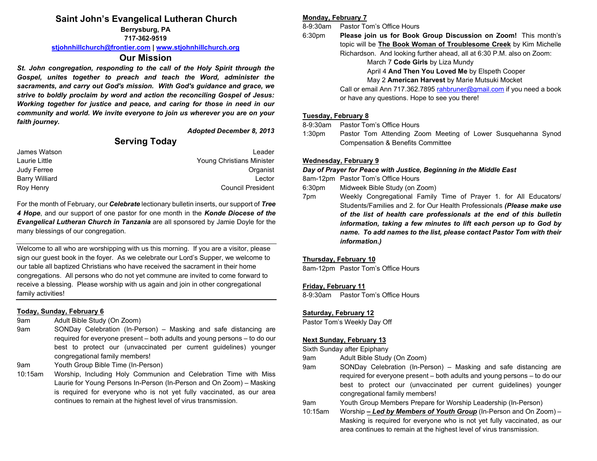# **Saint John's Evangelical Lutheran Church**

**Berrysburg, PA 717-362-9519**

**[stjohnhillchurch@frontier.com](mailto:stjohnhillchurch@frontier.com) | [www.stjohnhillchurch.org](http://www.stjohnhillchurch.org/)**

## **Our Mission**

*St. John congregation, responding to the call of the Holy Spirit through the Gospel, unites together to preach and teach the Word, administer the sacraments, and carry out God's mission. With God's guidance and grace, we strive to boldly proclaim by word and action the reconciling Gospel of Jesus: Working together for justice and peace, and caring for those in need in our community and world. We invite everyone to join us wherever you are on your faith journey.*

*Adopted December 8, 2013*

# **Serving Today**

| James Watson          | Leader                    |
|-----------------------|---------------------------|
| Laurie Little         | Young Christians Minister |
| Judy Ferree           | Organist                  |
| <b>Barry Williard</b> | I ector                   |
| Roy Henry             | <b>Council President</b>  |

For the month of February, our *Celebrate* lectionary bulletin inserts, our support of *Tree 4 Hope*, and our support of one pastor for one month in the *Konde Diocese of the Evangelical Lutheran Church in Tanzania* are all sponsored by Jamie Doyle for the many blessings of our congregation.

Welcome to all who are worshipping with us this morning. If you are a visitor, please sign our guest book in the foyer. As we celebrate our Lord's Supper, we welcome to our table all baptized Christians who have received the sacrament in their home congregations. All persons who do not yet commune are invited to come forward to receive a blessing. Please worship with us again and join in other congregational family activities!

## **Today, Sunday, February 6**

- 9am Adult Bible Study (On Zoom)
- 9am SONDay Celebration (In-Person) Masking and safe distancing are required for everyone present – both adults and young persons – to do our best to protect our (unvaccinated per current guidelines) younger congregational family members!
- 9am Youth Group Bible Time (In-Person)
- 10:15am Worship, Including Holy Communion and Celebration Time with Miss Laurie for Young Persons In-Person (In-Person and On Zoom) – Masking is required for everyone who is not yet fully vaccinated, as our area continues to remain at the highest level of virus transmission.

#### **Monday, February 7**

8-9:30am Pastor Tom's Office Hours

6:30pm **Please join us for Book Group Discussion on Zoom!** This month's topic will be **The Book Woman of Troublesome Creek** by Kim Michelle Richardson. And looking further ahead, all at 6:30 P.M. also on Zoom:

March 7 **Code Girls** by Liza Mundy April 4 **And Then You Loved Me** by Elspeth Cooper

## May 2 **American Harvest** by Marie Mutsuki Mocket

Call or email Ann 717.362.789[5 rahbruner@gmail.com](mailto:rahbruner@gmail.com) if you need a book or have any questions. Hope to see you there!

## **Tuesday, February 8**

8-9:30am Pastor Tom's Office Hours

1:30pm Pastor Tom Attending Zoom Meeting of Lower Susquehanna Synod Compensation & Benefits Committee

## **Wednesday, February 9**

*Day of Prayer for Peace with Justice, Beginning in the Middle East*

8am-12pm Pastor Tom's Office Hours

- 6:30pm Midweek Bible Study (on Zoom)
- 7pm Weekly Congregational Family Time of Prayer 1. for All Educators/ Students/Families and 2. for Our Health Professionals *(Please make use of the list of health care professionals at the end of this bulletin information, taking a few minutes to lift each person up to God by name. To add names to the list, please contact Pastor Tom with their information.)*

## **Thursday, February 10**

8am-12pm Pastor Tom's Office Hours

#### **Friday, February 11**

8-9:30am Pastor Tom's Office Hours

## **Saturday, February 12**

Pastor Tom's Weekly Day Off

## **Next Sunday, February 13**

Sixth Sunday after Epiphany

- 9am Adult Bible Study (On Zoom)
- 9am SONDay Celebration (In-Person) Masking and safe distancing are required for everyone present – both adults and young persons – to do our best to protect our (unvaccinated per current guidelines) younger congregational family members!
- 9am Youth Group Members Prepare for Worship Leadership (In-Person)
- 10:15am Worship *– Led by Members of Youth Group* (In-Person and On Zoom) Masking is required for everyone who is not yet fully vaccinated, as our area continues to remain at the highest level of virus transmission.